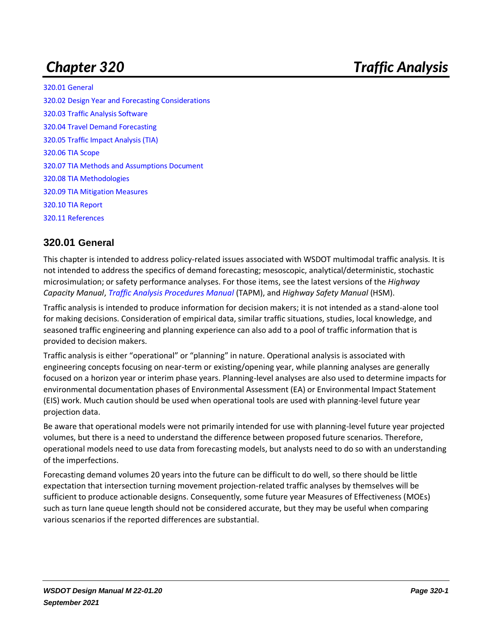[320.01 General](#page-0-0) [320.02 Design Year and Forecasting Considerations](#page-1-0) [320.03 Traffic Analysis Software](#page-2-0) [320.04 Travel Demand Forecasting](#page-2-1) [320.05 Traffic Impact Analysis \(TIA\)](#page-4-0) [320.06 TIA Scope](#page-4-1) [320.07 TIA Methods and Assumptions Document](#page-5-0) [320.08 TIA Methodologies](#page-6-0) [320.09 TIA Mitigation Measures](#page-7-0) [320.10 TIA Report](#page-8-0) [320.11 References](#page-9-0)

# <span id="page-0-0"></span>**320.01 General**

This chapter is intended to address policy-related issues associated with WSDOT multimodal traffic analysis. It is not intended to address the specifics of demand forecasting; mesoscopic, analytical/deterministic, stochastic microsimulation; or safety performance analyses. For those items, see the latest versions of the *Highway Capacity Manual*, *Traffic [Analysis Procedures Manual](https://wsdot.wa.gov/engineering-standards/design-topics/traffic-analysis)* (TAPM), and *Highway Safety Manual* (HSM).

Traffic analysis is intended to produce information for decision makers; it is not intended as a stand-alone tool for making decisions. Consideration of empirical data, similar traffic situations, studies, local knowledge, and seasoned traffic engineering and planning experience can also add to a pool of traffic information that is provided to decision makers.

Traffic analysis is either "operational" or "planning" in nature. Operational analysis is associated with engineering concepts focusing on near-term or existing/opening year, while planning analyses are generally focused on a horizon year or interim phase years. Planning-level analyses are also used to determine impacts for environmental documentation phases of Environmental Assessment (EA) or Environmental Impact Statement (EIS) work. Much caution should be used when operational tools are used with planning-level future year projection data.

Be aware that operational models were not primarily intended for use with planning-level future year projected volumes, but there is a need to understand the difference between proposed future scenarios. Therefore, operational models need to use data from forecasting models, but analysts need to do so with an understanding of the imperfections.

Forecasting demand volumes 20 years into the future can be difficult to do well, so there should be little expectation that intersection turning movement projection-related traffic analyses by themselves will be sufficient to produce actionable designs. Consequently, some future year Measures of Effectiveness (MOEs) such as turn lane queue length should not be considered accurate, but they may be useful when comparing various scenarios if the reported differences are substantial.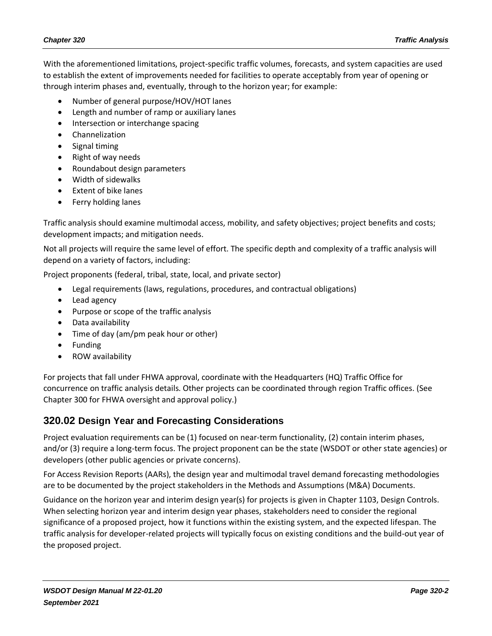With the aforementioned limitations, project-specific traffic volumes, forecasts, and system capacities are used to establish the extent of improvements needed for facilities to operate acceptably from year of opening or through interim phases and, eventually, through to the horizon year; for example:

- Number of general purpose/HOV/HOT lanes
- Length and number of ramp or auxiliary lanes
- Intersection or interchange spacing
- Channelization
- Signal timing
- Right of way needs
- Roundabout design parameters
- Width of sidewalks
- Extent of bike lanes
- Ferry holding lanes

Traffic analysis should examine multimodal access, mobility, and safety objectives; project benefits and costs; development impacts; and mitigation needs.

Not all projects will require the same level of effort. The specific depth and complexity of a traffic analysis will depend on a variety of factors, including:

Project proponents (federal, tribal, state, local, and private sector)

- Legal requirements (laws, regulations, procedures, and contractual obligations)
- Lead agency
- Purpose or scope of the traffic analysis
- Data availability
- Time of day (am/pm peak hour or other)
- Funding
- ROW availability

For projects that fall under FHWA approval, coordinate with the Headquarters (HQ) Traffic Office for concurrence on traffic analysis details. Other projects can be coordinated through region Traffic offices. (See Chapter 300 for FHWA oversight and approval policy.)

#### <span id="page-1-0"></span>**320.02 Design Year and Forecasting Considerations**

Project evaluation requirements can be (1) focused on near-term functionality, (2) contain interim phases, and/or (3) require a long-term focus. The project proponent can be the state (WSDOT or other state agencies) or developers (other public agencies or private concerns).

For Access Revision Reports (AARs), the design year and multimodal travel demand forecasting methodologies are to be documented by the project stakeholders in the Methods and Assumptions (M&A) Documents.

Guidance on the horizon year and interim design year(s) for projects is given in Chapter 1103, Design Controls. When selecting horizon year and interim design year phases, stakeholders need to consider the regional significance of a proposed project, how it functions within the existing system, and the expected lifespan. The traffic analysis for developer-related projects will typically focus on existing conditions and the build-out year of the proposed project.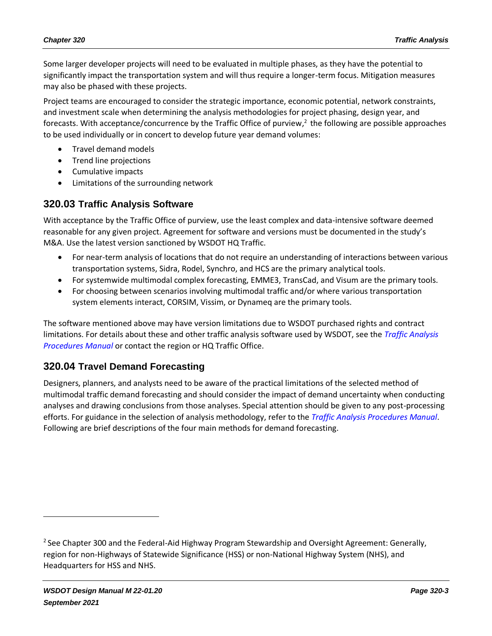Some larger developer projects will need to be evaluated in multiple phases, as they have the potential to significantly impact the transportation system and will thus require a longer-term focus. Mitigation measures may also be phased with these projects.

Project teams are encouraged to consider the strategic importance, economic potential, network constraints, and investment scale when determining the analysis methodologies for project phasing, design year, and forecasts. With acceptance/concurrence by the Traffic Office of purview,<sup>2</sup> the following are possible approaches to be used individually or in concert to develop future year demand volumes:

- Travel demand models
- Trend line projections
- Cumulative impacts
- Limitations of the surrounding network

#### <span id="page-2-0"></span>**320.03 Traffic Analysis Software**

With acceptance by the Traffic Office of purview, use the least complex and data-intensive software deemed reasonable for any given project. Agreement for software and versions must be documented in the study's M&A. Use the latest version sanctioned by WSDOT HQ Traffic.

- For near-term analysis of locations that do not require an understanding of interactions between various transportation systems, Sidra, Rodel, Synchro, and HCS are the primary analytical tools.
- For systemwide multimodal complex forecasting, EMME3, TransCad, and Visum are the primary tools.
- For choosing between scenarios involving multimodal traffic and/or where various transportation system elements interact, CORSIM, Vissim, or Dynameq are the primary tools.

The software mentioned above may have version limitations due to WSDOT purchased rights and contract limitations. For details about these and other traffic analysis software used by WSDOT, see the *[Traffic Analysis](https://wsdot.wa.gov/engineering-standards/design-topics/traffic-analysis)  [Procedures Manual](https://wsdot.wa.gov/engineering-standards/design-topics/traffic-analysis)* or contact the region or HQ Traffic Office.

# <span id="page-2-1"></span>**320.04 Travel Demand Forecasting**

Designers, planners, and analysts need to be aware of the practical limitations of the selected method of multimodal traffic demand forecasting and should consider the impact of demand uncertainty when conducting analyses and drawing conclusions from those analyses. Special attention should be given to any post-processing efforts. For guidance in the selection of analysis methodology, refer to the *[Traffic Analysis Procedures Manual](https://wsdot.wa.gov/engineering-standards/design-topics/traffic-analysis)*. Following are brief descriptions of the four main methods for demand forecasting.

<sup>&</sup>lt;sup>2</sup> See Chapter 300 and the Federal-Aid Highway Program Stewardship and Oversight Agreement: Generally, region for non-Highways of Statewide Significance (HSS) or non-National Highway System (NHS), and Headquarters for HSS and NHS.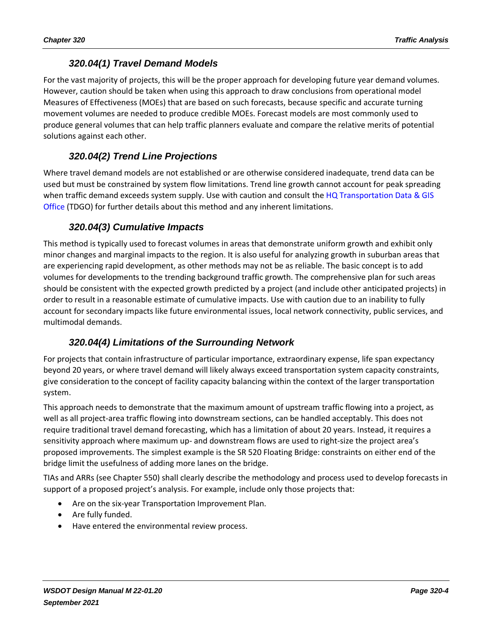## *320.04(1) Travel Demand Models*

For the vast majority of projects, this will be the proper approach for developing future year demand volumes. However, caution should be taken when using this approach to draw conclusions from operational model Measures of Effectiveness (MOEs) that are based on such forecasts, because specific and accurate turning movement volumes are needed to produce credible MOEs. Forecast models are most commonly used to produce general volumes that can help traffic planners evaluate and compare the relative merits of potential solutions against each other.

## *320.04(2) Trend Line Projections*

Where travel demand models are not established or are otherwise considered inadequate, trend data can be used but must be constrained by system flow limitations. Trend line growth cannot account for peak spreading when traffic demand exceeds system supply. Use with caution and consult the HQ Transportation Data & GIS [Office](http://www.wsdot.wa.gov/mapsdata/tdgo_home.htm) (TDGO) for further details about this method and any inherent limitations.

## *320.04(3) Cumulative Impacts*

This method is typically used to forecast volumes in areas that demonstrate uniform growth and exhibit only minor changes and marginal impacts to the region. It is also useful for analyzing growth in suburban areas that are experiencing rapid development, as other methods may not be as reliable. The basic concept is to add volumes for developments to the trending background traffic growth. The comprehensive plan for such areas should be consistent with the expected growth predicted by a project (and include other anticipated projects) in order to result in a reasonable estimate of cumulative impacts. Use with caution due to an inability to fully account for secondary impacts like future environmental issues, local network connectivity, public services, and multimodal demands.

#### *320.04(4) Limitations of the Surrounding Network*

For projects that contain infrastructure of particular importance, extraordinary expense, life span expectancy beyond 20 years, or where travel demand will likely always exceed transportation system capacity constraints, give consideration to the concept of facility capacity balancing within the context of the larger transportation system.

This approach needs to demonstrate that the maximum amount of upstream traffic flowing into a project, as well as all project-area traffic flowing into downstream sections, can be handled acceptably. This does not require traditional travel demand forecasting, which has a limitation of about 20 years. Instead, it requires a sensitivity approach where maximum up- and downstream flows are used to right-size the project area's proposed improvements. The simplest example is the SR 520 Floating Bridge: constraints on either end of the bridge limit the usefulness of adding more lanes on the bridge.

TIAs and ARRs (see Chapter 550) shall clearly describe the methodology and process used to develop forecasts in support of a proposed project's analysis. For example, include only those projects that:

- Are on the six-year Transportation Improvement Plan.
- Are fully funded.
- Have entered the environmental review process.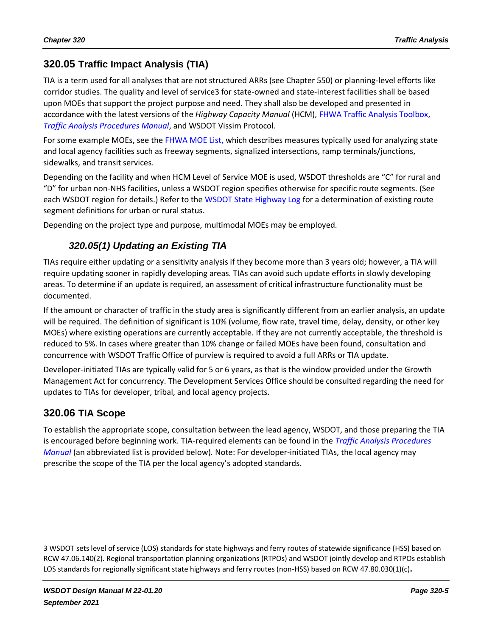# <span id="page-4-0"></span>**320.05 Traffic Impact Analysis (TIA)**

TIA is a term used for all analyses that are not structured ARRs (see Chapter 550) or planning-level efforts like corridor studies. The quality and level of service3 for state-owned and state-interest facilities shall be based upon MOEs that support the project purpose and need. They shall also be developed and presented in accordance with the latest versions of the *Highway Capacity Manual* (HCM), [FHWA Traffic Analysis Toolbox,](http://www.ops.fhwa.dot.gov/trafficanalysistools/index.htm) *[Traffic Analysis Procedures Manual](https://wsdot.wa.gov/engineering-standards/design-topics/traffic-analysis)*, and WSDOT Vissim Protocol.

For some example MOEs, see the [FHWA MOE List,](http://ops.fhwa.dot.gov/publications/fhwahop08054/sect2.htm) which describes measures typically used for analyzing state and local agency facilities such as freeway segments, signalized intersections, ramp terminals/junctions, sidewalks, and transit services.

Depending on the facility and when HCM Level of Service MOE is used, WSDOT thresholds are "C" for rural and "D" for urban non-NHS facilities, unless a WSDOT region specifies otherwise for specific route segments. (See each WSDOT region for details.) Refer to the [WSDOT State Highway Log](http://www.wsdot.wa.gov/mapsdata/roadway/statehighwaylog.htm) for a determination of existing route segment definitions for urban or rural status.

Depending on the project type and purpose, multimodal MOEs may be employed.

# *320.05(1) Updating an Existing TIA*

TIAs require either updating or a sensitivity analysis if they become more than 3 years old; however, a TIA will require updating sooner in rapidly developing areas. TIAs can avoid such update efforts in slowly developing areas. To determine if an update is required, an assessment of critical infrastructure functionality must be documented.

If the amount or character of traffic in the study area is significantly different from an earlier analysis, an update will be required. The definition of significant is 10% (volume, flow rate, travel time, delay, density, or other key MOEs) where existing operations are currently acceptable. If they are not currently acceptable, the threshold is reduced to 5%. In cases where greater than 10% change or failed MOEs have been found, consultation and concurrence with WSDOT Traffic Office of purview is required to avoid a full ARRs or TIA update.

Developer-initiated TIAs are typically valid for 5 or 6 years, as that is the window provided under the Growth Management Act for concurrency. The Development Services Office should be consulted regarding the need for updates to TIAs for developer, tribal, and local agency projects.

#### <span id="page-4-1"></span>**320.06 TIA Scope**

To establish the appropriate scope, consultation between the lead agency, WSDOT, and those preparing the TIA is encouraged before beginning work. TIA-required elements can be found in the *[Traffic Analysis Procedures](https://wsdot.wa.gov/engineering-standards/design-topics/traffic-analysis)  [Manual](https://wsdot.wa.gov/engineering-standards/design-topics/traffic-analysis)* (an abbreviated list is provided below). Note: For developer-initiated TIAs, the local agency may prescribe the scope of the TIA per the local agency's adopted standards.

<sup>3</sup> WSDOT sets level of service (LOS) standards for state highways and ferry routes of statewide significance (HSS) based on [RCW 47.06.140\(2\).](http://apps.leg.wa.gov/rcw/default.aspx?cite=47.06.140) Regional transportation planning organizations (RTPOs) and WSDOT jointly develop and RTPOs establish LOS standards for regionally significant state highways and ferry routes (non-HSS) based o[n RCW 47.80.030\(1\)\(c\)](http://apps.leg.wa.gov/rcw/default.aspx?cite=47.80.030)**.**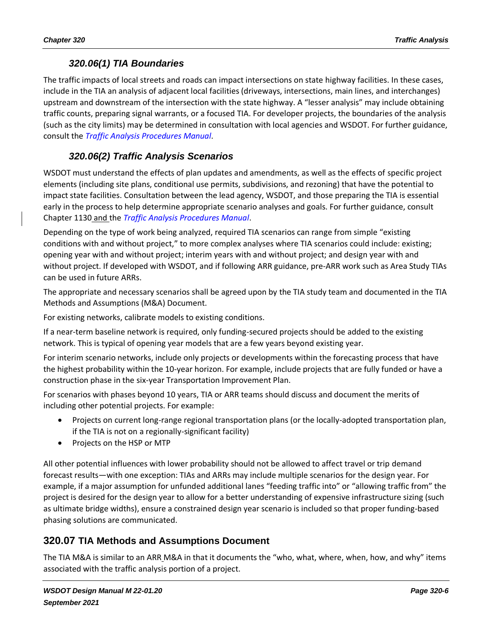### *320.06(1) TIA Boundaries*

The traffic impacts of local streets and roads can impact intersections on state highway facilities. In these cases, include in the TIA an analysis of adjacent local facilities (driveways, intersections, main lines, and interchanges) upstream and downstream of the intersection with the state highway. A "lesser analysis" may include obtaining traffic counts, preparing signal warrants, or a focused TIA. For developer projects, the boundaries of the analysis (such as the city limits) may be determined in consultation with local agencies and WSDOT. For further guidance, consult the *[Traffic Analysis Procedures Manual](https://wsdot.wa.gov/engineering-standards/design-topics/traffic-analysis)*.

## *320.06(2) Traffic Analysis Scenarios*

WSDOT must understand the effects of plan updates and amendments, as well as the effects of specific project elements (including site plans, conditional use permits, subdivisions, and rezoning) that have the potential to impact state facilities. Consultation between the lead agency, WSDOT, and those preparing the TIA is essential early in the process to help determine appropriate scenario analyses and goals. For further guidance, consult Chapter 1130 and the *[Traffic Analysis Procedures Manual](https://wsdot.wa.gov/engineering-standards/design-topics/traffic-analysis)*.

Depending on the type of work being analyzed, required TIA scenarios can range from simple "existing conditions with and without project," to more complex analyses where TIA scenarios could include: existing; opening year with and without project; interim years with and without project; and design year with and without project. If developed with WSDOT, and if following ARR guidance, pre-ARR work such as Area Study TIAs can be used in future ARRs.

The appropriate and necessary scenarios shall be agreed upon by the TIA study team and documented in the TIA Methods and Assumptions (M&A) Document.

For existing networks, calibrate models to existing conditions.

If a near-term baseline network is required, only funding-secured projects should be added to the existing network. This is typical of opening year models that are a few years beyond existing year.

For interim scenario networks, include only projects or developments within the forecasting process that have the highest probability within the 10-year horizon. For example, include projects that are fully funded or have a construction phase in the six-year Transportation Improvement Plan.

For scenarios with phases beyond 10 years, TIA or ARR teams should discuss and document the merits of including other potential projects. For example:

- Projects on current long-range regional transportation plans (or the locally-adopted transportation plan, if the TIA is not on a regionally-significant facility)
- Projects on the HSP or MTP

All other potential influences with lower probability should not be allowed to affect travel or trip demand forecast results—with one exception: TIAs and ARRs may include multiple scenarios for the design year. For example, if a major assumption for unfunded additional lanes "feeding traffic into" or "allowing traffic from" the project is desired for the design year to allow for a better understanding of expensive infrastructure sizing (such as ultimate bridge widths), ensure a constrained design year scenario is included so that proper funding-based phasing solutions are communicated.

#### <span id="page-5-0"></span>**320.07 TIA Methods and Assumptions Document**

The TIA M&A is similar to an ARR M&A in that it documents the "who, what, where, when, how, and why" items associated with the traffic analysis portion of a project.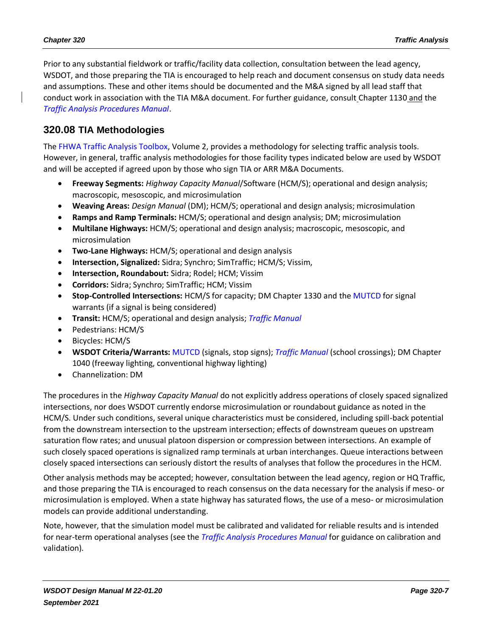Prior to any substantial fieldwork or traffic/facility data collection, consultation between the lead agency, WSDOT, and those preparing the TIA is encouraged to help reach and document consensus on study data needs and assumptions. These and other items should be documented and the M&A signed by all lead staff that conduct work in association with the TIA M&A document. For further guidance, consult Chapter 1130 and the *[Traffic Analysis Procedures Manual](https://wsdot.wa.gov/engineering-standards/design-topics/traffic-analysis)*.

## <span id="page-6-0"></span>**320.08 TIA Methodologies**

The [FHWA Traffic Analysis Toolbox,](http://www.ops.fhwa.dot.gov/trafficanalysistools/tat_vol2/Vol2_Methodology.pdf) Volume 2, provides a methodology for selecting traffic analysis tools. However, in general, traffic analysis methodologies for those facility types indicated below are used by WSDOT and will be accepted if agreed upon by those who sign TIA or ARR M&A Documents.

- **Freeway Segments:** *Highway Capacity Manual*/Software (HCM/S); operational and design analysis; macroscopic, mesoscopic, and microsimulation
- **Weaving Areas:** *Design Manual* (DM); HCM/S; operational and design analysis; microsimulation
- **Ramps and Ramp Terminals:** HCM/S; operational and design analysis; DM; microsimulation
- **Multilane Highways:** HCM/S; operational and design analysis; macroscopic, mesoscopic, and microsimulation
- **Two-Lane Highways:** HCM/S; operational and design analysis
- **Intersection, Signalized:** Sidra; Synchro; SimTraffic; HCM/S; Vissim,
- **Intersection, Roundabout:** Sidra; Rodel; HCM; Vissim
- **Corridors:** Sidra; Synchro; SimTraffic; HCM; Vissim
- **Stop-Controlled Intersections:** HCM/S for capacity; DM Chapter 1330 and the [MUTCD](https://mutcd.fhwa.dot.gov/pdfs/2009r1r2/pdf_index.htm) for signal warrants (if a signal is being considered)
- **Transit:** HCM/S; operational and design analysis; *[Traffic Manual](http://www.wsdot.wa.gov/Publications/Manuals/M51-02.htm)*
- Pedestrians: HCM/S
- Bicycles: HCM/S
- **WSDOT Criteria/Warrants:** [MUTCD](https://mutcd.fhwa.dot.gov/pdfs/2009r1r2/pdf_index.htm) (signals, stop signs); *[Traffic Manual](http://www.wsdot.wa.gov/Publications/Manuals/M51-02.htm)* (school crossings); DM Chapter 1040 (freeway lighting, conventional highway lighting)
- Channelization: DM

The procedures in the *Highway Capacity Manual* do not explicitly address operations of closely spaced signalized intersections, nor does WSDOT currently endorse microsimulation or roundabout guidance as noted in the HCM/S. Under such conditions, several unique characteristics must be considered, including spill-back potential from the downstream intersection to the upstream intersection; effects of downstream queues on upstream saturation flow rates; and unusual platoon dispersion or compression between intersections. An example of such closely spaced operations is signalized ramp terminals at urban interchanges. Queue interactions between closely spaced intersections can seriously distort the results of analyses that follow the procedures in the HCM.

Other analysis methods may be accepted; however, consultation between the lead agency, region or HQ Traffic, and those preparing the TIA is encouraged to reach consensus on the data necessary for the analysis if meso- or microsimulation is employed. When a state highway has saturated flows, the use of a meso- or microsimulation models can provide additional understanding.

Note, however, that the simulation model must be calibrated and validated for reliable results and is intended for near-term operational analyses (see the *[Traffic Analysis Procedures Manual](https://wsdot.wa.gov/engineering-standards/design-topics/traffic-analysis)* for guidance on calibration and validation).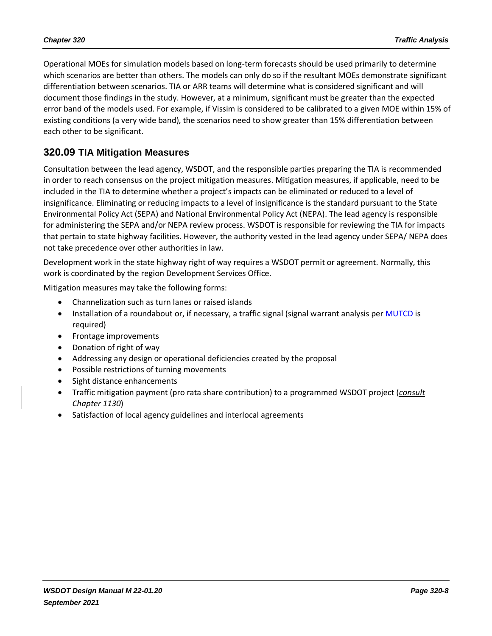Operational MOEs for simulation models based on long-term forecasts should be used primarily to determine which scenarios are better than others. The models can only do so if the resultant MOEs demonstrate significant differentiation between scenarios. TIA or ARR teams will determine what is considered significant and will document those findings in the study. However, at a minimum, significant must be greater than the expected error band of the models used. For example, if Vissim is considered to be calibrated to a given MOE within 15% of existing conditions (a very wide band), the scenarios need to show greater than 15% differentiation between each other to be significant.

#### <span id="page-7-0"></span>**320.09 TIA Mitigation Measures**

Consultation between the lead agency, WSDOT, and the responsible parties preparing the TIA is recommended in order to reach consensus on the project mitigation measures. Mitigation measures, if applicable, need to be included in the TIA to determine whether a project's impacts can be eliminated or reduced to a level of insignificance. Eliminating or reducing impacts to a level of insignificance is the standard pursuant to the State Environmental Policy Act (SEPA) and National Environmental Policy Act (NEPA). The lead agency is responsible for administering the SEPA and/or NEPA review process. WSDOT is responsible for reviewing the TIA for impacts that pertain to state highway facilities. However, the authority vested in the lead agency under SEPA/ NEPA does not take precedence over other authorities in law.

Development work in the state highway right of way requires a WSDOT permit or agreement. Normally, this work is coordinated by the region Development Services Office.

Mitigation measures may take the following forms:

- Channelization such as turn lanes or raised islands
- Installation of a roundabout or, if necessary, a traffic signal (signal warrant analysis per [MUTCD](https://mutcd.fhwa.dot.gov/pdfs/2009r1r2/pdf_index.htm) is required)
- Frontage improvements
- Donation of right of way
- Addressing any design or operational deficiencies created by the proposal
- Possible restrictions of turning movements
- Sight distance enhancements
- Traffic mitigation payment (pro rata share contribution) to a programmed WSDOT project (*consult Chapter 1130*)
- Satisfaction of local agency guidelines and interlocal agreements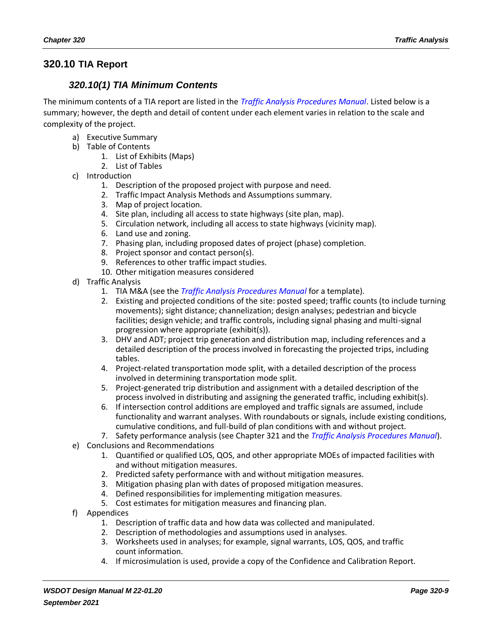#### <span id="page-8-0"></span>**320.10 TIA Report**

#### *320.10(1) TIA Minimum Contents*

The minimum contents of a TIA report are listed in the *[Traffic Analysis Procedures Manual](https://wsdot.wa.gov/engineering-standards/design-topics/traffic-analysis)*. Listed below is a summary; however, the depth and detail of content under each element varies in relation to the scale and complexity of the project.

- a) Executive Summary
- b) Table of Contents
	- 1. List of Exhibits (Maps)
	- 2. List of Tables
- c) Introduction
	- 1. Description of the proposed project with purpose and need.
	- 2. Traffic Impact Analysis Methods and Assumptions summary.
	- 3. Map of project location.
	- 4. Site plan, including all access to state highways (site plan, map).
	- 5. Circulation network, including all access to state highways (vicinity map).
	- 6. Land use and zoning.
	- 7. Phasing plan, including proposed dates of project (phase) completion.
	- 8. Project sponsor and contact person(s).
	- 9. References to other traffic impact studies.
	- 10. Other mitigation measures considered
- d) Traffic Analysis
	- 1. TIA M&A (see the *[Traffic Analysis Procedures Manual](https://wsdot.wa.gov/engineering-standards/design-topics/traffic-analysis)* for a template).
	- 2. Existing and projected conditions of the site: posted speed; traffic counts (to include turning movements); sight distance; channelization; design analyses; pedestrian and bicycle facilities; design vehicle; and traffic controls, including signal phasing and multi-signal progression where appropriate (exhibit(s)).
	- 3. DHV and ADT; project trip generation and distribution map, including references and a detailed description of the process involved in forecasting the projected trips, including tables.
	- 4. Project-related transportation mode split, with a detailed description of the process involved in determining transportation mode split.
	- 5. Project-generated trip distribution and assignment with a detailed description of the process involved in distributing and assigning the generated traffic, including exhibit(s).
	- 6. If intersection control additions are employed and traffic signals are assumed, include functionality and warrant analyses. With roundabouts or signals, include existing conditions, cumulative conditions, and full-build of plan conditions with and without project.
	- 7. Safety performance analysis (see Chapter 321 and the *[Traffic Analysis Procedures Manual](https://wsdot.wa.gov/engineering-standards/design-topics/traffic-analysis)*).
- e) Conclusions and Recommendations
	- 1. Quantified or qualified LOS, QOS, and other appropriate MOEs of impacted facilities with and without mitigation measures.
	- 2. Predicted safety performance with and without mitigation measures.
	- 3. Mitigation phasing plan with dates of proposed mitigation measures.
	- 4. Defined responsibilities for implementing mitigation measures.
	- 5. Cost estimates for mitigation measures and financing plan.
- f) Appendices
	- 1. Description of traffic data and how data was collected and manipulated.
	- 2. Description of methodologies and assumptions used in analyses.
	- 3. Worksheets used in analyses; for example, signal warrants, LOS, QOS, and traffic count information.
	- 4. If microsimulation is used, provide a copy of the Confidence and Calibration Report.